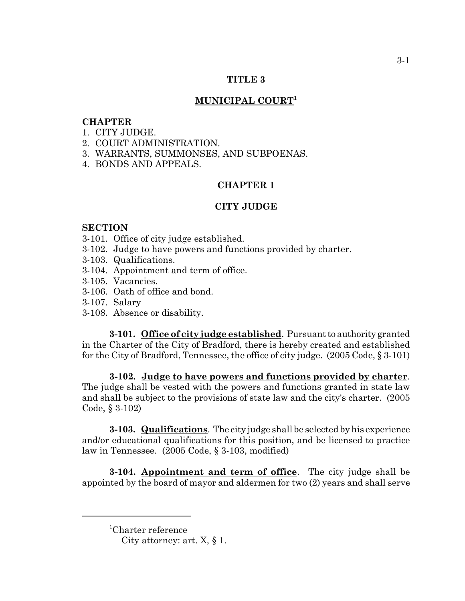## **TITLE 3**

## **MUNICIPAL COURT1**

## **CHAPTER**

- 1. CITY JUDGE.
- 2. COURT ADMINISTRATION.
- 3. WARRANTS, SUMMONSES, AND SUBPOENAS.
- 4. BONDS AND APPEALS.

## **CHAPTER 1**

#### **CITY JUDGE**

#### **SECTION**

- 3-101. Office of city judge established.
- 3-102. Judge to have powers and functions provided by charter.
- 3-103. Qualifications.
- 3-104. Appointment and term of office.
- 3-105. Vacancies.
- 3-106. Oath of office and bond.
- 3-107. Salary
- 3-108. Absence or disability.

**3-101. Office of city judge established**. Pursuant to authority granted in the Charter of the City of Bradford, there is hereby created and established for the City of Bradford, Tennessee, the office of city judge. (2005 Code, § 3-101)

**3-102. Judge to have powers and functions provided by charter**. The judge shall be vested with the powers and functions granted in state law and shall be subject to the provisions of state law and the city's charter. (2005 Code, § 3-102)

**3-103. Qualifications**. The city judge shall be selected by his experience and/or educational qualifications for this position, and be licensed to practice law in Tennessee. (2005 Code, § 3-103, modified)

**3-104. Appointment and term of office**. The city judge shall be appointed by the board of mayor and aldermen for two (2) years and shall serve

<sup>1</sup> Charter reference

City attorney: art.  $X, \S$  1.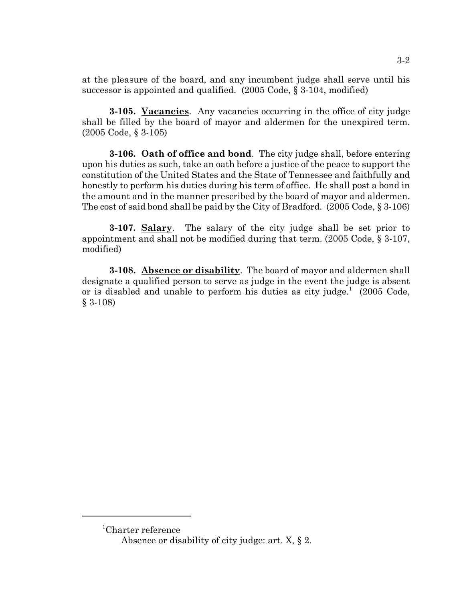at the pleasure of the board, and any incumbent judge shall serve until his successor is appointed and qualified. (2005 Code, § 3-104, modified)

**3-105. Vacancies**. Any vacancies occurring in the office of city judge shall be filled by the board of mayor and aldermen for the unexpired term. (2005 Code, § 3-105)

**3-106. Oath of office and bond**. The city judge shall, before entering upon his duties as such, take an oath before a justice of the peace to support the constitution of the United States and the State of Tennessee and faithfully and honestly to perform his duties during his term of office. He shall post a bond in the amount and in the manner prescribed by the board of mayor and aldermen. The cost of said bond shall be paid by the City of Bradford. (2005 Code, § 3-106)

**3-107. Salary**. The salary of the city judge shall be set prior to appointment and shall not be modified during that term. (2005 Code, § 3-107, modified)

**3-108. Absence or disability**. The board of mayor and aldermen shall designate a qualified person to serve as judge in the event the judge is absent or is disabled and unable to perform his duties as city judge.<sup>1</sup> (2005 Code, § 3-108)

3-2

<sup>1</sup> Charter reference

Absence or disability of city judge: art. X, § 2.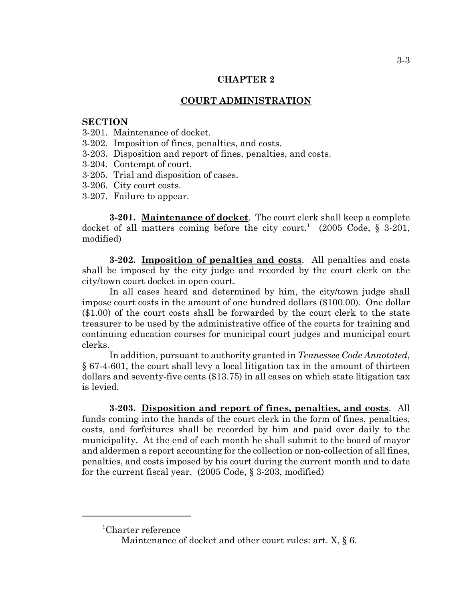## **CHAPTER 2**

## **COURT ADMINISTRATION**

#### **SECTION**

- 3-201. Maintenance of docket.
- 3-202. Imposition of fines, penalties, and costs.
- 3-203. Disposition and report of fines, penalties, and costs.
- 3-204. Contempt of court.
- 3-205. Trial and disposition of cases.
- 3-206. City court costs.
- 3-207. Failure to appear.

**3-201. Maintenance of docket**. The court clerk shall keep a complete docket of all matters coming before the city court.<sup>1</sup> (2005 Code, § 3-201, modified)

**3-202. Imposition of penalties and costs**. All penalties and costs shall be imposed by the city judge and recorded by the court clerk on the city/town court docket in open court.

In all cases heard and determined by him, the city/town judge shall impose court costs in the amount of one hundred dollars (\$100.00). One dollar (\$1.00) of the court costs shall be forwarded by the court clerk to the state treasurer to be used by the administrative office of the courts for training and continuing education courses for municipal court judges and municipal court clerks.

In addition, pursuant to authority granted in *Tennessee Code Annotated*, § 67-4-601, the court shall levy a local litigation tax in the amount of thirteen dollars and seventy-five cents (\$13.75) in all cases on which state litigation tax is levied.

**3-203. Disposition and report of fines, penalties, and costs**. All funds coming into the hands of the court clerk in the form of fines, penalties, costs, and forfeitures shall be recorded by him and paid over daily to the municipality. At the end of each month he shall submit to the board of mayor and aldermen a report accounting for the collection or non-collection of all fines, penalties, and costs imposed by his court during the current month and to date for the current fiscal year. (2005 Code, § 3-203, modified)

<sup>1</sup> Charter reference

Maintenance of docket and other court rules: art. X,  $\S$  6.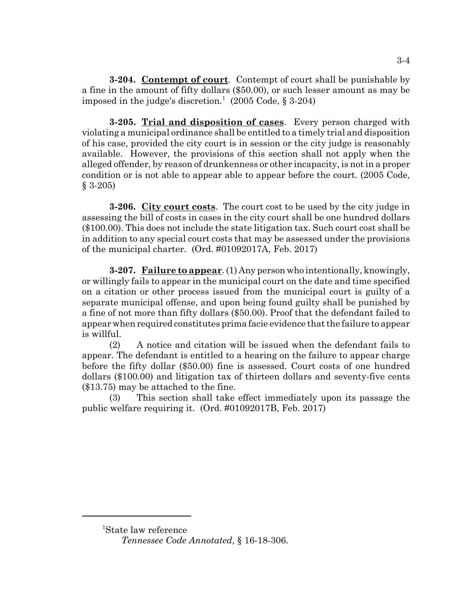**3-204. Contempt of court**. Contempt of court shall be punishable by a fine in the amount of fifty dollars (\$50.00), or such lesser amount as may be imposed in the judge's discretion.<sup>1</sup> (2005 Code, § 3-204)

**3-205. Trial and disposition of cases**. Every person charged with violating a municipal ordinance shall be entitled to a timely trial and disposition of his case, provided the city court is in session or the city judge is reasonably available. However, the provisions of this section shall not apply when the alleged offender, by reason of drunkenness or other incapacity, is not in a proper condition or is not able to appear able to appear before the court. (2005 Code, § 3-205)

**3-206. City court costs**. The court cost to be used by the city judge in assessing the bill of costs in cases in the city court shall be one hundred dollars (\$100.00). This does not include the state litigation tax. Such court cost shall be in addition to any special court costs that may be assessed under the provisions of the municipal charter. (Ord. #01092017A, Feb. 2017)

**3-207. Failure to appear**. (1) Any person who intentionally, knowingly, or willingly fails to appear in the municipal court on the date and time specified on a citation or other process issued from the municipal court is guilty of a separate municipal offense, and upon being found guilty shall be punished by a fine of not more than fifty dollars (\$50.00). Proof that the defendant failed to appear when required constitutes prima facie evidence that the failure to appear is willful.

(2) A notice and citation will be issued when the defendant fails to appear. The defendant is entitled to a hearing on the failure to appear charge before the fifty dollar (\$50.00) fine is assessed. Court costs of one hundred dollars (\$100.00) and litigation tax of thirteen dollars and seventy-five cents (\$13.75) may be attached to the fine.

(3) This section shall take effect immediately upon its passage the public welfare requiring it. (Ord. #01092017B, Feb. 2017)

<sup>1</sup> State law reference

*Tennessee Code Annotated*, § 16-18-306.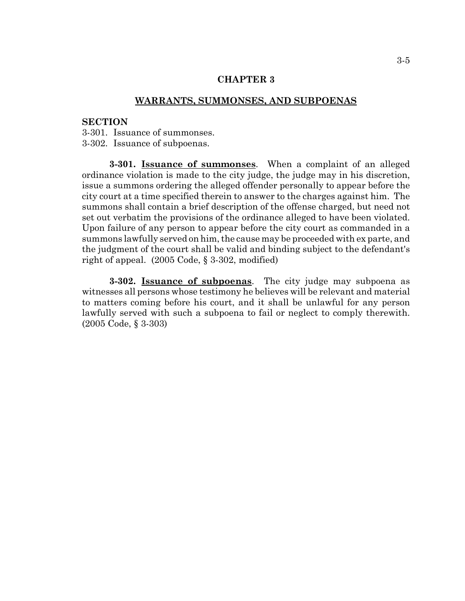## **CHAPTER 3**

## **WARRANTS, SUMMONSES, AND SUBPOENAS**

## **SECTION**

3-301. Issuance of summonses.

3-302. Issuance of subpoenas.

**3-301. Issuance of summonses**. When a complaint of an alleged ordinance violation is made to the city judge, the judge may in his discretion, issue a summons ordering the alleged offender personally to appear before the city court at a time specified therein to answer to the charges against him. The summons shall contain a brief description of the offense charged, but need not set out verbatim the provisions of the ordinance alleged to have been violated. Upon failure of any person to appear before the city court as commanded in a summons lawfully served on him, the cause may be proceeded with ex parte, and the judgment of the court shall be valid and binding subject to the defendant's right of appeal. (2005 Code, § 3-302, modified)

**3-302. Issuance of subpoenas**. The city judge may subpoena as witnesses all persons whose testimony he believes will be relevant and material to matters coming before his court, and it shall be unlawful for any person lawfully served with such a subpoena to fail or neglect to comply therewith. (2005 Code, § 3-303)